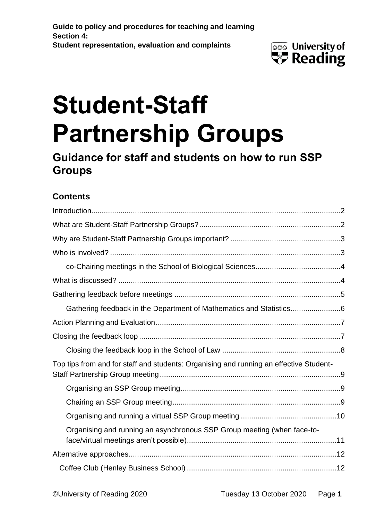

# **Student-Staff Partnership Groups**

**Guidance for staff and students on how to run SSP Groups**

### **Contents**

| Gathering feedback in the Department of Mathematics and Statistics6                    |  |
|----------------------------------------------------------------------------------------|--|
|                                                                                        |  |
|                                                                                        |  |
|                                                                                        |  |
| Top tips from and for staff and students: Organising and running an effective Student- |  |
|                                                                                        |  |
|                                                                                        |  |
|                                                                                        |  |
| Organising and running an asynchronous SSP Group meeting (when face-to-                |  |
|                                                                                        |  |
|                                                                                        |  |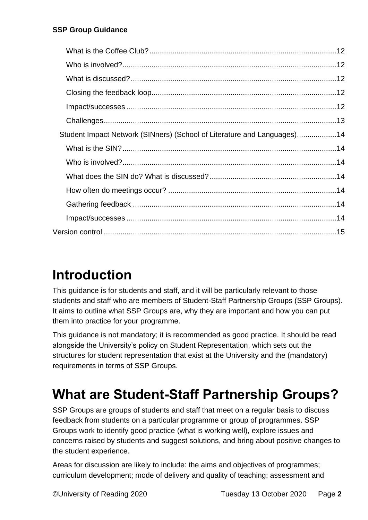| Student Impact Network (SINners) (School of Literature and Languages)14 |  |
|-------------------------------------------------------------------------|--|
|                                                                         |  |
|                                                                         |  |
|                                                                         |  |
|                                                                         |  |
|                                                                         |  |
|                                                                         |  |
|                                                                         |  |

### <span id="page-1-0"></span>**Introduction**

This guidance is for students and staff, and it will be particularly relevant to those students and staff who are members of Student-Staff Partnership Groups (SSP Groups). It aims to outline what SSP Groups are, why they are important and how you can put them into practice for your programme.

This guidance is not mandatory; it is recommended as good practice. It should be read alongside the University's policy on [Student Representation,](http://www.reading.ac.uk/web/files/qualitysupport/studentreppolicy.pdf) which sets out the structures for student representation that exist at the University and the (mandatory) requirements in terms of SSP Groups.

# <span id="page-1-1"></span>**What are Student-Staff Partnership Groups?**

SSP Groups are groups of students and staff that meet on a regular basis to discuss feedback from students on a particular programme or group of programmes. SSP Groups work to identify good practice (what is working well), explore issues and concerns raised by students and suggest solutions, and bring about positive changes to the student experience.

Areas for discussion are likely to include: the aims and objectives of programmes; curriculum development; mode of delivery and quality of teaching; assessment and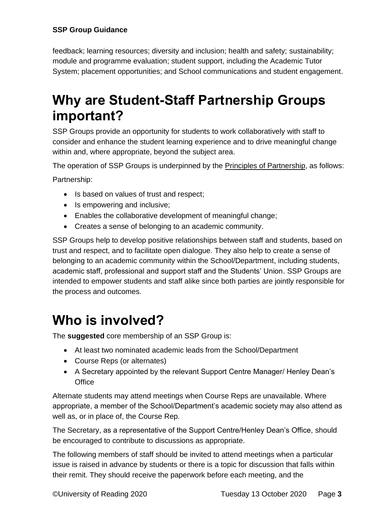feedback; learning resources; diversity and inclusion; health and safety; sustainability; module and programme evaluation; student support, including the Academic Tutor System; placement opportunities; and School communications and student engagement.

## <span id="page-2-0"></span>**Why are Student-Staff Partnership Groups important?**

SSP Groups provide an opportunity for students to work collaboratively with staff to consider and enhance the student learning experience and to drive meaningful change within and, where appropriate, beyond the subject area.

The operation of SSP Groups is underpinned by the [Principles of Partnership,](https://sites.reading.ac.uk/curriculum-framework/student-staff-partnerships/) as follows:

Partnership:

- Is based on values of trust and respect;
- Is empowering and inclusive;
- Enables the collaborative development of meaningful change;
- Creates a sense of belonging to an academic community.

SSP Groups help to develop positive relationships between staff and students, based on trust and respect, and to facilitate open dialogue. They also help to create a sense of belonging to an academic community within the School/Department, including students, academic staff, professional and support staff and the Students' Union. SSP Groups are intended to empower students and staff alike since both parties are jointly responsible for the process and outcomes.

### <span id="page-2-1"></span>**Who is involved?**

The **suggested** core membership of an SSP Group is:

- At least two nominated academic leads from the School/Department
- Course Reps (or alternates)
- A Secretary appointed by the relevant Support Centre Manager/ Henley Dean's **Office**

Alternate students may attend meetings when Course Reps are unavailable. Where appropriate, a member of the School/Department's academic society may also attend as well as, or in place of, the Course Rep.

The Secretary, as a representative of the Support Centre/Henley Dean's Office, should be encouraged to contribute to discussions as appropriate.

The following members of staff should be invited to attend meetings when a particular issue is raised in advance by students or there is a topic for discussion that falls within their remit. They should receive the paperwork before each meeting, and the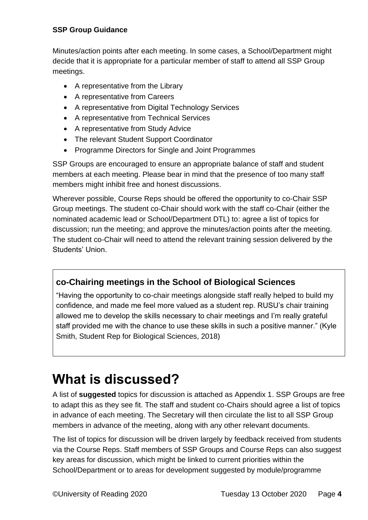Minutes/action points after each meeting. In some cases, a School/Department might decide that it is appropriate for a particular member of staff to attend all SSP Group meetings.

- A representative from the Library
- A representative from Careers
- A representative from Digital Technology Services
- A representative from Technical Services
- A representative from Study Advice
- The relevant Student Support Coordinator
- Programme Directors for Single and Joint Programmes

SSP Groups are encouraged to ensure an appropriate balance of staff and student members at each meeting. Please bear in mind that the presence of too many staff members might inhibit free and honest discussions.

Wherever possible, Course Reps should be offered the opportunity to co-Chair SSP Group meetings. The student co-Chair should work with the staff co-Chair (either the nominated academic lead or School/Department DTL) to: agree a list of topics for discussion; run the meeting; and approve the minutes/action points after the meeting. The student co-Chair will need to attend the relevant training session delivered by the Students' Union.

### <span id="page-3-0"></span>**co-Chairing meetings in the School of Biological Sciences**

"Having the opportunity to co-chair meetings alongside staff really helped to build my confidence, and made me feel more valued as a student rep. RUSU's chair training allowed me to develop the skills necessary to chair meetings and I'm really grateful staff provided me with the chance to use these skills in such a positive manner." (Kyle Smith, Student Rep for Biological Sciences, 2018)

### <span id="page-3-1"></span>**What is discussed?**

A list of **suggested** topics for discussion is attached as Appendix 1. SSP Groups are free to adapt this as they see fit. The staff and student co-Chairs should agree a list of topics in advance of each meeting. The Secretary will then circulate the list to all SSP Group members in advance of the meeting, along with any other relevant documents.

The list of topics for discussion will be driven largely by feedback received from students via the Course Reps. Staff members of SSP Groups and Course Reps can also suggest key areas for discussion, which might be linked to current priorities within the School/Department or to areas for development suggested by module/programme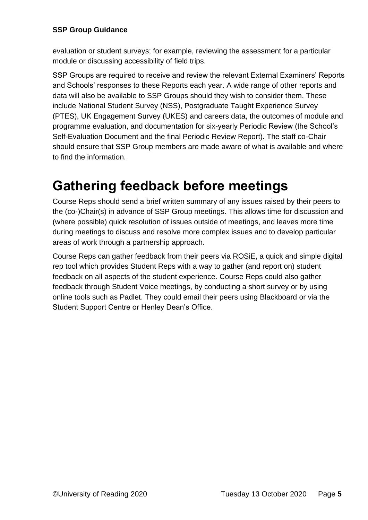evaluation or student surveys; for example, reviewing the assessment for a particular module or discussing accessibility of field trips.

SSP Groups are required to receive and review the relevant External Examiners' Reports and Schools' responses to these Reports each year. A wide range of other reports and data will also be available to SSP Groups should they wish to consider them. These include National Student Survey (NSS), Postgraduate Taught Experience Survey (PTES), UK Engagement Survey (UKES) and careers data, the outcomes of module and programme evaluation, and documentation for six-yearly Periodic Review (the School's Self-Evaluation Document and the final Periodic Review Report). The staff co-Chair should ensure that SSP Group members are made aware of what is available and where to find the information.

### <span id="page-4-0"></span>**Gathering feedback before meetings**

Course Reps should send a brief written summary of any issues raised by their peers to the (co-)Chair(s) in advance of SSP Group meetings. This allows time for discussion and (where possible) quick resolution of issues outside of meetings, and leaves more time during meetings to discuss and resolve more complex issues and to develop particular areas of work through a partnership approach.

Course Reps can gather feedback from their peers via [ROSiE,](https://wh.snapsurveys.com/s.asp?k=159903732635) a quick and simple digital rep tool which provides Student Reps with a way to gather (and report on) student feedback on all aspects of the student experience. Course Reps could also gather feedback through Student Voice meetings, by conducting a short survey or by using online tools such as Padlet. They could email their peers using Blackboard or via the Student Support Centre or Henley Dean's Office.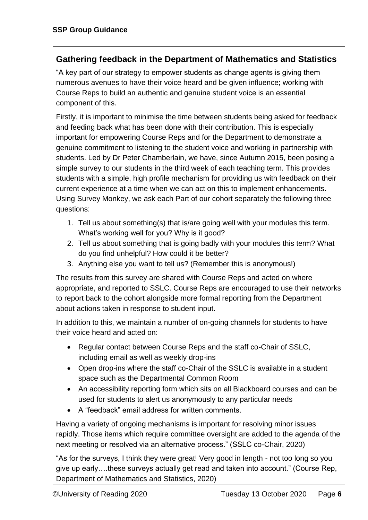### <span id="page-5-0"></span>**Gathering feedback in the Department of Mathematics and Statistics**

"A key part of our strategy to empower students as change agents is giving them numerous avenues to have their voice heard and be given influence; working with Course Reps to build an authentic and genuine student voice is an essential component of this.

Firstly, it is important to minimise the time between students being asked for feedback and feeding back what has been done with their contribution. This is especially important for empowering Course Reps and for the Department to demonstrate a genuine commitment to listening to the student voice and working in partnership with students. Led by Dr Peter Chamberlain, we have, since Autumn 2015, been posing a simple survey to our students in the third week of each teaching term. This provides students with a simple, high profile mechanism for providing us with feedback on their current experience at a time when we can act on this to implement enhancements. Using Survey Monkey, we ask each Part of our cohort separately the following three questions:

- 1. Tell us about something(s) that is/are going well with your modules this term. What's working well for you? Why is it good?
- 2. Tell us about something that is going badly with your modules this term? What do you find unhelpful? How could it be better?
- 3. Anything else you want to tell us? (Remember this is anonymous!)

The results from this survey are shared with Course Reps and acted on where appropriate, and reported to SSLC. Course Reps are encouraged to use their networks to report back to the cohort alongside more formal reporting from the Department about actions taken in response to student input.

In addition to this, we maintain a number of on-going channels for students to have their voice heard and acted on:

- Regular contact between Course Reps and the staff co-Chair of SSLC, including email as well as weekly drop-ins
- Open drop-ins where the staff co-Chair of the SSLC is available in a student space such as the Departmental Common Room
- An accessibility reporting form which sits on all Blackboard courses and can be used for students to alert us anonymously to any particular needs
- A "feedback" email address for written comments.

Having a variety of ongoing mechanisms is important for resolving minor issues rapidly. Those items which require committee oversight are added to the agenda of the next meeting or resolved via an alternative process." (SSLC co-Chair, 2020)

"As for the surveys, I think they were great! Very good in length - not too long so you give up early….these surveys actually get read and taken into account." (Course Rep, Department of Mathematics and Statistics, 2020)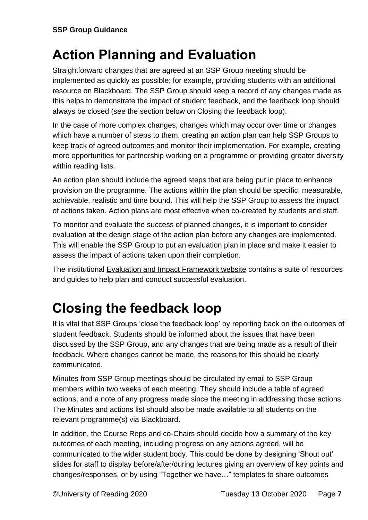# <span id="page-6-0"></span>**Action Planning and Evaluation**

Straightforward changes that are agreed at an SSP Group meeting should be implemented as quickly as possible; for example, providing students with an additional resource on Blackboard. The SSP Group should keep a record of any changes made as this helps to demonstrate the impact of student feedback, and the feedback loop should always be closed (see the section below on Closing the feedback loop).

In the case of more complex changes, changes which may occur over time or changes which have a number of steps to them, creating an action plan can help SSP Groups to keep track of agreed outcomes and monitor their implementation. For example, creating more opportunities for partnership working on a programme or providing greater diversity within reading lists.

An action plan should include the agreed steps that are being put in place to enhance provision on the programme. The actions within the plan should be specific, measurable, achievable, realistic and time bound. This will help the SSP Group to assess the impact of actions taken. Action plans are most effective when co-created by students and staff.

To monitor and evaluate the success of planned changes, it is important to consider evaluation at the design stage of the action plan before any changes are implemented. This will enable the SSP Group to put an evaluation plan in place and make it easier to assess the impact of actions taken upon their completion.

The institutional [Evaluation and Impact Framework website](https://sites.reading.ac.uk/evaluation-and-impact/) contains a suite of resources and guides to help plan and conduct successful evaluation.

# <span id="page-6-1"></span>**Closing the feedback loop**

It is vital that SSP Groups 'close the feedback loop' by reporting back on the outcomes of student feedback. Students should be informed about the issues that have been discussed by the SSP Group, and any changes that are being made as a result of their feedback. Where changes cannot be made, the reasons for this should be clearly communicated.

Minutes from SSP Group meetings should be circulated by email to SSP Group members within two weeks of each meeting. They should include a table of agreed actions, and a note of any progress made since the meeting in addressing those actions. The Minutes and actions list should also be made available to all students on the relevant programme(s) via Blackboard.

In addition, the Course Reps and co-Chairs should decide how a summary of the key outcomes of each meeting, including progress on any actions agreed, will be communicated to the wider student body. This could be done by designing 'Shout out' slides for staff to display before/after/during lectures giving an overview of key points and changes/responses, or by using "Together we have…" templates to share outcomes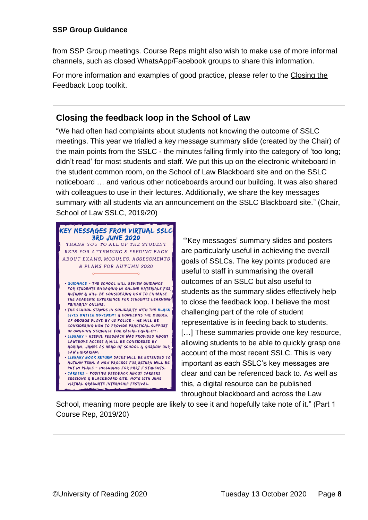from SSP Group meetings. Course Reps might also wish to make use of more informal channels, such as closed WhatsApp/Facebook groups to share this information.

For more information and examples of good practice, please refer to the [Closing the](https://sites.reading.ac.uk/curriculum-framework/closing-the-feedback-loop/)  [Feedback Loop toolkit.](https://sites.reading.ac.uk/curriculum-framework/closing-the-feedback-loop/)

### <span id="page-7-0"></span>**Closing the feedback loop in the School of Law**

"We had often had complaints about students not knowing the outcome of SSLC meetings. This year we trialled a key message summary slide (created by the Chair) of the main points from the SSLC - the minutes falling firmly into the category of 'too long; didn't read' for most students and staff. We put this up on the electronic whiteboard in the student common room, on the School of Law Blackboard site and on the SSLC noticeboard … and various other noticeboards around our building. It was also shared with colleagues to use in their lectures. Additionally, we share the key messages summary with all students via an announcement on the SSLC Blackboard site." (Chair, School of Law SSLC, 2019/20)

#### KEY MESSAGES FROM VIRTUAL SSLC **3RD JUNE 2020** THANK YOU TO ALL OF THE STUDENT REPS FOR ATTENDING & FEEDING BACK ABOUT EXAMS, MODULES, ASSESSMENTS & PLANS FOR AUTUMN 2020

- . GUIDANCE THE SCHOOL WILL REVIEW GUIDANCE FOR STUDENTS ENGAGING IN ONLINE MATERIALS FOR AUTUMN & WILL BE CONSIDERING HOW TO ENHANCE THE ACADEMIC EXPERIENCE FOR STUDENTS LEARNING PRIMARILY ONLINE.
- . THE SCHOOL STANDS IN SOLIDARITY WITH THE BLACK LIVES MATTER MOVEMENT & CONDEMNS THE MURDER OF GEORGE FLOYD BY US POLICE - WE WILL BE CONSIDERING HOW TO PROVIDE PRACTICAL SUPPORT IN ONGOING STRUGGLE FOR RACIAL EQUALITY. . LIBRARY - USEFUL FEEDBACK WAS PROVIDED ABOUT
- LAWTROVE ACCESS & WILL BE CONSIDERED BY ADRIAN, JAMES AS HEAD OF SCHOOL & GORDON OUR LAW LIBRARIAN.
- LIBRARY BOOK RETURN DATES WILL BE EXTENDED TO AUTUMN TERM. A NEW PROCESS FOR RETURN WILL BE PUT IN PLACE - INCLUDING FOR PART F STUDENTS. • CAREERS - POSITIVE FEEDBACK ABOUT CAREERS SESSIONS & BLACKBOARD SITE, NOTE 10TH JUNE VIRTUAL GRADUATE INTERNSHIP FESTIVAL.

to close the feedback loop. I believe the most challenging part of the role of student representative is in feeding back to students. [...] These summaries provide one key resource, allowing students to be able to quickly grasp one account of the most recent SSLC. This is very important as each SSLC's key messages are clear and can be referenced back to. As well as this, a digital resource can be published

throughout blackboard and across the Law

"'Key messages' summary slides and posters are particularly useful in achieving the overall goals of SSLCs. The key points produced are

students as the summary slides effectively help

useful to staff in summarising the overall outcomes of an SSLC but also useful to

School, meaning more people are likely to see it and hopefully take note of it." (Part 1 Course Rep, 2019/20)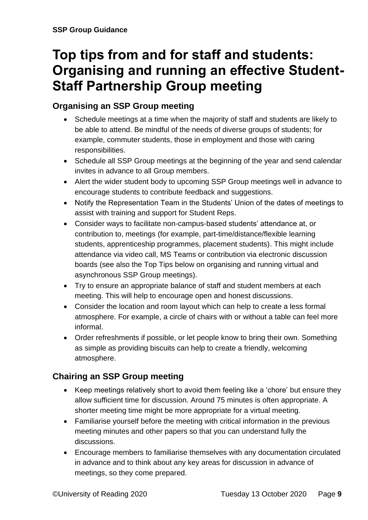### <span id="page-8-0"></span>**Top tips from and for staff and students: Organising and running an effective Student-Staff Partnership Group meeting**

### <span id="page-8-1"></span>**Organising an SSP Group meeting**

- Schedule meetings at a time when the majority of staff and students are likely to be able to attend. Be mindful of the needs of diverse groups of students; for example, commuter students, those in employment and those with caring responsibilities.
- Schedule all SSP Group meetings at the beginning of the year and send calendar invites in advance to all Group members.
- Alert the wider student body to upcoming SSP Group meetings well in advance to encourage students to contribute feedback and suggestions.
- Notify the Representation Team in the Students' Union of the dates of meetings to assist with training and support for Student Reps.
- Consider ways to facilitate non-campus-based students' attendance at, or contribution to, meetings (for example, part-time/distance/flexible learning students, apprenticeship programmes, placement students). This might include attendance via video call, MS Teams or contribution via electronic discussion boards (see also the Top Tips below on organising and running virtual and asynchronous SSP Group meetings).
- Try to ensure an appropriate balance of staff and student members at each meeting. This will help to encourage open and honest discussions.
- Consider the location and room layout which can help to create a less formal atmosphere. For example, a circle of chairs with or without a table can feel more informal.
- Order refreshments if possible, or let people know to bring their own. Something as simple as providing biscuits can help to create a friendly, welcoming atmosphere.

### <span id="page-8-2"></span>**Chairing an SSP Group meeting**

- Keep meetings relatively short to avoid them feeling like a 'chore' but ensure they allow sufficient time for discussion. Around 75 minutes is often appropriate. A shorter meeting time might be more appropriate for a virtual meeting.
- Familiarise yourself before the meeting with critical information in the previous meeting minutes and other papers so that you can understand fully the discussions.
- Encourage members to familiarise themselves with any documentation circulated in advance and to think about any key areas for discussion in advance of meetings, so they come prepared.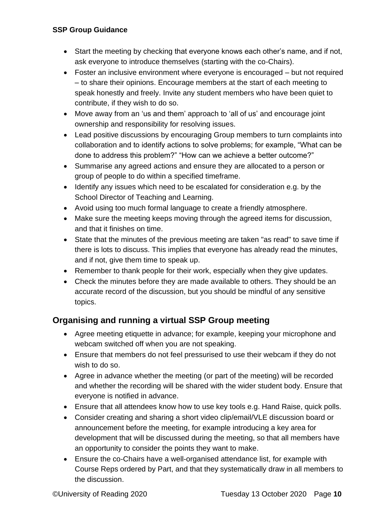- Start the meeting by checking that everyone knows each other's name, and if not, ask everyone to introduce themselves (starting with the co-Chairs).
- Foster an inclusive environment where everyone is encouraged but not required – to share their opinions. Encourage members at the start of each meeting to speak honestly and freely. Invite any student members who have been quiet to contribute, if they wish to do so.
- Move away from an 'us and them' approach to 'all of us' and encourage joint ownership and responsibility for resolving issues.
- Lead positive discussions by encouraging Group members to turn complaints into collaboration and to identify actions to solve problems; for example, "What can be done to address this problem?" "How can we achieve a better outcome?"
- Summarise any agreed actions and ensure they are allocated to a person or group of people to do within a specified timeframe.
- Identify any issues which need to be escalated for consideration e.g. by the School Director of Teaching and Learning.
- Avoid using too much formal language to create a friendly atmosphere.
- Make sure the meeting keeps moving through the agreed items for discussion, and that it finishes on time.
- State that the minutes of the previous meeting are taken "as read" to save time if there is lots to discuss. This implies that everyone has already read the minutes, and if not, give them time to speak up.
- Remember to thank people for their work, especially when they give updates.
- Check the minutes before they are made available to others. They should be an accurate record of the discussion, but you should be mindful of any sensitive topics.

### <span id="page-9-0"></span>**Organising and running a virtual SSP Group meeting**

- Agree meeting etiquette in advance; for example, keeping your microphone and webcam switched off when you are not speaking.
- Ensure that members do not feel pressurised to use their webcam if they do not wish to do so.
- Agree in advance whether the meeting (or part of the meeting) will be recorded and whether the recording will be shared with the wider student body. Ensure that everyone is notified in advance.
- Ensure that all attendees know how to use key tools e.g. Hand Raise, quick polls.
- Consider creating and sharing a short video clip/email/VLE discussion board or announcement before the meeting, for example introducing a key area for development that will be discussed during the meeting, so that all members have an opportunity to consider the points they want to make.
- Ensure the co-Chairs have a well-organised attendance list, for example with Course Reps ordered by Part, and that they systematically draw in all members to the discussion.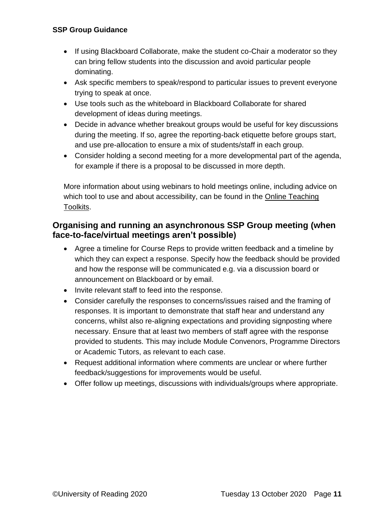- If using Blackboard Collaborate, make the student co-Chair a moderator so they can bring fellow students into the discussion and avoid particular people dominating.
- Ask specific members to speak/respond to particular issues to prevent everyone trying to speak at once.
- Use tools such as the whiteboard in Blackboard Collaborate for shared development of ideas during meetings.
- Decide in advance whether breakout groups would be useful for key discussions during the meeting. If so, agree the reporting-back etiquette before groups start, and use pre-allocation to ensure a mix of students/staff in each group.
- Consider holding a second meeting for a more developmental part of the agenda, for example if there is a proposal to be discussed in more depth.

More information about using webinars to hold meetings online, including advice on which tool to use and about accessibility, can be found in the [Online Teaching](https://sites.reading.ac.uk/tel/online-teaching-toolkits/)  [Toolkits.](https://sites.reading.ac.uk/tel/online-teaching-toolkits/)

### <span id="page-10-0"></span>**Organising and running an asynchronous SSP Group meeting (when face-to-face/virtual meetings aren't possible)**

- Agree a timeline for Course Reps to provide written feedback and a timeline by which they can expect a response. Specify how the feedback should be provided and how the response will be communicated e.g. via a discussion board or announcement on Blackboard or by email.
- Invite relevant staff to feed into the response.
- Consider carefully the responses to concerns/issues raised and the framing of responses. It is important to demonstrate that staff hear and understand any concerns, whilst also re-aligning expectations and providing signposting where necessary. Ensure that at least two members of staff agree with the response provided to students. This may include Module Convenors, Programme Directors or Academic Tutors, as relevant to each case.
- Request additional information where comments are unclear or where further feedback/suggestions for improvements would be useful.
- Offer follow up meetings, discussions with individuals/groups where appropriate.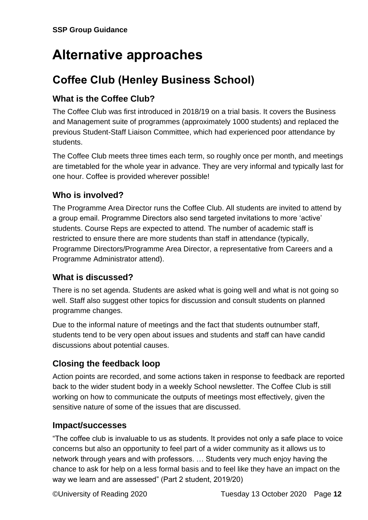# <span id="page-11-0"></span>**Alternative approaches**

### <span id="page-11-1"></span>**Coffee Club (Henley Business School)**

### <span id="page-11-2"></span>**What is the Coffee Club?**

The Coffee Club was first introduced in 2018/19 on a trial basis. It covers the Business and Management suite of programmes (approximately 1000 students) and replaced the previous Student-Staff Liaison Committee, which had experienced poor attendance by students.

The Coffee Club meets three times each term, so roughly once per month, and meetings are timetabled for the whole year in advance. They are very informal and typically last for one hour. Coffee is provided wherever possible!

### <span id="page-11-3"></span>**Who is involved?**

The Programme Area Director runs the Coffee Club. All students are invited to attend by a group email. Programme Directors also send targeted invitations to more 'active' students. Course Reps are expected to attend. The number of academic staff is restricted to ensure there are more students than staff in attendance (typically, Programme Directors/Programme Area Director, a representative from Careers and a Programme Administrator attend).

### <span id="page-11-4"></span>**What is discussed?**

There is no set agenda. Students are asked what is going well and what is not going so well. Staff also suggest other topics for discussion and consult students on planned programme changes.

Due to the informal nature of meetings and the fact that students outnumber staff, students tend to be very open about issues and students and staff can have candid discussions about potential causes.

### <span id="page-11-5"></span>**Closing the feedback loop**

Action points are recorded, and some actions taken in response to feedback are reported back to the wider student body in a weekly School newsletter. The Coffee Club is still working on how to communicate the outputs of meetings most effectively, given the sensitive nature of some of the issues that are discussed.

### <span id="page-11-6"></span>**Impact/successes**

"The coffee club is invaluable to us as students. It provides not only a safe place to voice concerns but also an opportunity to feel part of a wider community as it allows us to network through years and with professors. … Students very much enjoy having the chance to ask for help on a less formal basis and to feel like they have an impact on the way we learn and are assessed" (Part 2 student, 2019/20)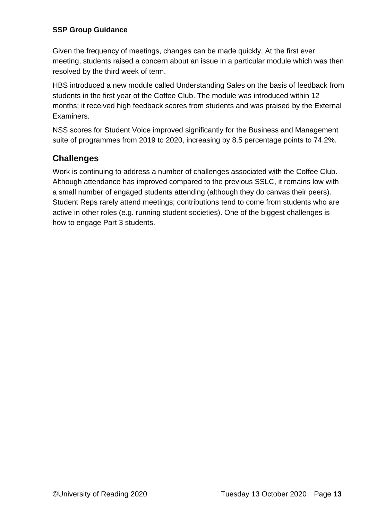Given the frequency of meetings, changes can be made quickly. At the first ever meeting, students raised a concern about an issue in a particular module which was then resolved by the third week of term.

HBS introduced a new module called Understanding Sales on the basis of feedback from students in the first year of the Coffee Club. The module was introduced within 12 months; it received high feedback scores from students and was praised by the External Examiners.

NSS scores for Student Voice improved significantly for the Business and Management suite of programmes from 2019 to 2020, increasing by 8.5 percentage points to 74.2%.

### <span id="page-12-0"></span>**Challenges**

Work is continuing to address a number of challenges associated with the Coffee Club. Although attendance has improved compared to the previous SSLC, it remains low with a small number of engaged students attending (although they do canvas their peers). Student Reps rarely attend meetings; contributions tend to come from students who are active in other roles (e.g. running student societies). One of the biggest challenges is how to engage Part 3 students.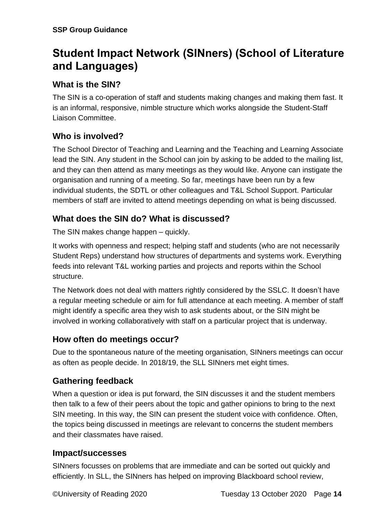### <span id="page-13-0"></span>**Student Impact Network (SINners) (School of Literature and Languages)**

### <span id="page-13-1"></span>**What is the SIN?**

The SIN is a co-operation of staff and students making changes and making them fast. It is an informal, responsive, nimble structure which works alongside the Student-Staff Liaison Committee.

### <span id="page-13-2"></span>**Who is involved?**

The School Director of Teaching and Learning and the Teaching and Learning Associate lead the SIN. Any student in the School can join by asking to be added to the mailing list, and they can then attend as many meetings as they would like. Anyone can instigate the organisation and running of a meeting. So far, meetings have been run by a few individual students, the SDTL or other colleagues and T&L School Support. Particular members of staff are invited to attend meetings depending on what is being discussed.

### <span id="page-13-3"></span>**What does the SIN do? What is discussed?**

The SIN makes change happen – quickly.

It works with openness and respect; helping staff and students (who are not necessarily Student Reps) understand how structures of departments and systems work. Everything feeds into relevant T&L working parties and projects and reports within the School structure.

The Network does not deal with matters rightly considered by the SSLC. It doesn't have a regular meeting schedule or aim for full attendance at each meeting. A member of staff might identify a specific area they wish to ask students about, or the SIN might be involved in working collaboratively with staff on a particular project that is underway.

### <span id="page-13-4"></span>**How often do meetings occur?**

Due to the spontaneous nature of the meeting organisation, SINners meetings can occur as often as people decide. In 2018/19, the SLL SINners met eight times.

### <span id="page-13-5"></span>**Gathering feedback**

When a question or idea is put forward, the SIN discusses it and the student members then talk to a few of their peers about the topic and gather opinions to bring to the next SIN meeting. In this way, the SIN can present the student voice with confidence. Often, the topics being discussed in meetings are relevant to concerns the student members and their classmates have raised.

### <span id="page-13-6"></span>**Impact/successes**

SINners focusses on problems that are immediate and can be sorted out quickly and efficiently. In SLL, the SINners has helped on improving Blackboard school review,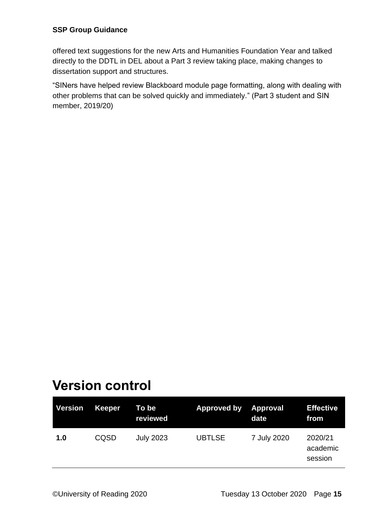offered text suggestions for the new Arts and Humanities Foundation Year and talked directly to the DDTL in DEL about a Part 3 review taking place, making changes to dissertation support and structures.

"SINers have helped review Blackboard module page formatting, along with dealing with other problems that can be solved quickly and immediately." (Part 3 student and SIN member, 2019/20)

### <span id="page-14-0"></span>**Version control**

| Version | Keeper | To be<br>reviewed | Approved by Approval | date        | <b>Effective</b><br>from       |
|---------|--------|-------------------|----------------------|-------------|--------------------------------|
| 1.0     | CQSD   | <b>July 2023</b>  | <b>UBTLSE</b>        | 7 July 2020 | 2020/21<br>academic<br>session |